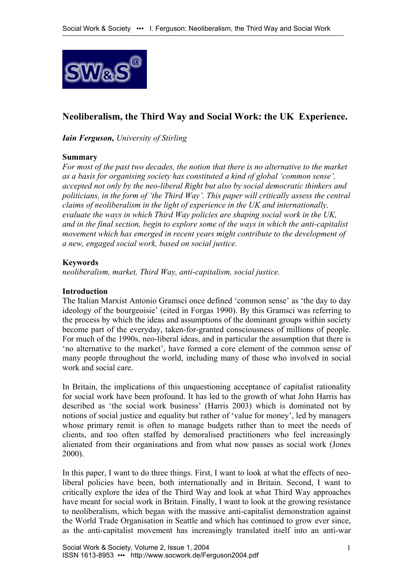

# **Neoliberalism, the Third Way and Social Work: the UK Experience.**

*Iain Ferguson, University of Stirling* 

### **Summary**

*For most of the past two decades, the notion that there is no alternative to the market as a basis for organising society has constituted a kind of global 'common sense', accepted not only by the neo-liberal Right but also by social democratic thinkers and politicians, in the form of 'the Third Way'. This paper will critically assess the central claims of neoliberalism in the light of experience in the UK and internationally, evaluate the ways in which Third Way policies are shaping social work in the UK, and in the final section, begin to explore some of the ways in which the anti-capitalist movement which has emerged in recent years might contribute to the development of a new, engaged social work, based on social justice.* 

### **Keywords**

*neoliberalism, market, Third Way, anti-capitalism, social justice.* 

#### **Introduction**

The Italian Marxist Antonio Gramsci once defined 'common sense' as 'the day to day ideology of the bourgeoisie' (cited in Forgas 1990). By this Gramsci was referring to the process by which the ideas and assumptions of the dominant groups within society become part of the everyday, taken-for-granted consciousness of millions of people. For much of the 1990s, neo-liberal ideas, and in particular the assumption that there is 'no alternative to the market', have formed a core element of the common sense of many people throughout the world, including many of those who involved in social work and social care.

In Britain, the implications of this unquestioning acceptance of capitalist rationality for social work have been profound. It has led to the growth of what John Harris has described as 'the social work business' (Harris 2003) which is dominated not by notions of social justice and equality but rather of 'value for money', led by managers whose primary remit is often to manage budgets rather than to meet the needs of clients, and too often staffed by demoralised practitioners who feel increasingly alienated from their organisations and from what now passes as social work (Jones 2000).

In this paper, I want to do three things. First, I want to look at what the effects of neoliberal policies have been, both internationally and in Britain. Second, I want to critically explore the idea of the Third Way and look at what Third Way approaches have meant for social work in Britain. Finally, I want to look at the growing resistance to neoliberalism, which began with the massive anti-capitalist demonstration against the World Trade Organisation in Seattle and which has continued to grow ever since, as the anti-capitalist movement has increasingly translated itself into an anti-war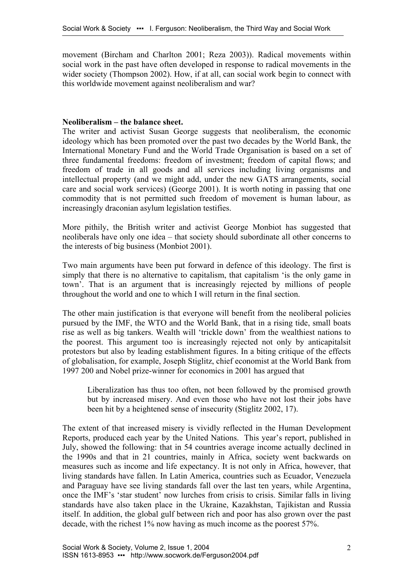movement (Bircham and Charlton 2001; Reza 2003)). Radical movements within social work in the past have often developed in response to radical movements in the wider society (Thompson 2002). How, if at all, can social work begin to connect with this worldwide movement against neoliberalism and war?

#### **Neoliberalism – the balance sheet.**

The writer and activist Susan George suggests that neoliberalism, the economic ideology which has been promoted over the past two decades by the World Bank, the International Monetary Fund and the World Trade Organisation is based on a set of three fundamental freedoms: freedom of investment; freedom of capital flows; and freedom of trade in all goods and all services including living organisms and intellectual property (and we might add, under the new GATS arrangements, social care and social work services) (George 2001). It is worth noting in passing that one commodity that is not permitted such freedom of movement is human labour, as increasingly draconian asylum legislation testifies.

More pithily, the British writer and activist George Monbiot has suggested that neoliberals have only one idea – that society should subordinate all other concerns to the interests of big business (Monbiot 2001).

Two main arguments have been put forward in defence of this ideology. The first is simply that there is no alternative to capitalism, that capitalism 'is the only game in town'. That is an argument that is increasingly rejected by millions of people throughout the world and one to which I will return in the final section.

The other main justification is that everyone will benefit from the neoliberal policies pursued by the IMF, the WTO and the World Bank, that in a rising tide, small boats rise as well as big tankers. Wealth will 'trickle down' from the wealthiest nations to the poorest. This argument too is increasingly rejected not only by anticapitalsit protestors but also by leading establishment figures. In a biting critique of the effects of globalisation, for example, Joseph Stiglitz, chief economist at the World Bank from 1997 200 and Nobel prize-winner for economics in 2001 has argued that

Liberalization has thus too often, not been followed by the promised growth but by increased misery. And even those who have not lost their jobs have been hit by a heightened sense of insecurity (Stiglitz 2002, 17).

The extent of that increased misery is vividly reflected in the Human Development Reports, produced each year by the United Nations. This year's report, published in July, showed the following: that in 54 countries average income actually declined in the 1990s and that in 21 countries, mainly in Africa, society went backwards on measures such as income and life expectancy. It is not only in Africa, however, that living standards have fallen. In Latin America, countries such as Ecuador, Venezuela and Paraguay have see living standards fall over the last ten years, while Argentina, once the IMF's 'star student' now lurches from crisis to crisis. Similar falls in living standards have also taken place in the Ukraine, Kazakhstan, Tajikistan and Russia itself. In addition, the global gulf between rich and poor has also grown over the past decade, with the richest 1% now having as much income as the poorest 57%.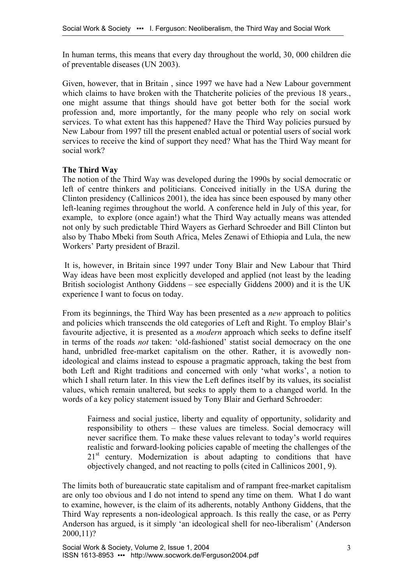In human terms, this means that every day throughout the world, 30, 000 children die of preventable diseases (UN 2003).

Given, however, that in Britain , since 1997 we have had a New Labour government which claims to have broken with the Thatcherite policies of the previous 18 years., one might assume that things should have got better both for the social work profession and, more importantly, for the many people who rely on social work services. To what extent has this happened? Have the Third Way policies pursued by New Labour from 1997 till the present enabled actual or potential users of social work services to receive the kind of support they need? What has the Third Way meant for social work?

# **The Third Way**

The notion of the Third Way was developed during the 1990s by social democratic or left of centre thinkers and politicians. Conceived initially in the USA during the Clinton presidency (Callinicos 2001), the idea has since been espoused by many other left-leaning regimes throughout the world. A conference held in July of this year, for example, to explore (once again!) what the Third Way actually means was attended not only by such predictable Third Wayers as Gerhard Schroeder and Bill Clinton but also by Thabo Mbeki from South Africa, Meles Zenawi of Ethiopia and Lula, the new Workers' Party president of Brazil.

It is, however, in Britain since 1997 under Tony Blair and New Labour that Third Way ideas have been most explicitly developed and applied (not least by the leading British sociologist Anthony Giddens – see especially Giddens 2000) and it is the UK experience I want to focus on today.

From its beginnings, the Third Way has been presented as a *new* approach to politics and policies which transcends the old categories of Left and Right. To employ Blair's favourite adjective, it is presented as a *modern* approach which seeks to define itself in terms of the roads *not* taken: 'old-fashioned' statist social democracy on the one hand, unbridled free-market capitalism on the other. Rather, it is avowedly nonideological and claims instead to espouse a pragmatic approach, taking the best from both Left and Right traditions and concerned with only 'what works', a notion to which I shall return later. In this view the Left defines itself by its values, its socialist values, which remain unaltered, but seeks to apply them to a changed world. In the words of a key policy statement issued by Tony Blair and Gerhard Schroeder:

Fairness and social justice, liberty and equality of opportunity, solidarity and responsibility to others – these values are timeless. Social democracy will never sacrifice them. To make these values relevant to today's world requires realistic and forward-looking policies capable of meeting the challenges of the  $21<sup>st</sup>$  century. Modernization is about adapting to conditions that have objectively changed, and not reacting to polls (cited in Callinicos 2001, 9).

The limits both of bureaucratic state capitalism and of rampant free-market capitalism are only too obvious and I do not intend to spend any time on them. What I do want to examine, however, is the claim of its adherents, notably Anthony Giddens, that the Third Way represents a non-ideological approach. Is this really the case, or as Perry Anderson has argued, is it simply 'an ideological shell for neo-liberalism' (Anderson 2000,11)?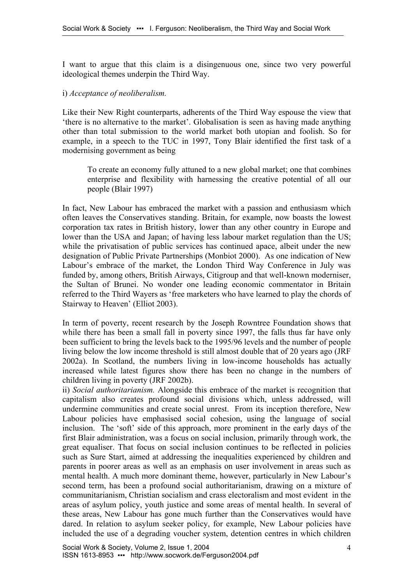I want to argue that this claim is a disingenuous one, since two very powerful ideological themes underpin the Third Way.

## i) *Acceptance of neoliberalism.*

Like their New Right counterparts, adherents of the Third Way espouse the view that 'there is no alternative to the market'. Globalisation is seen as having made anything other than total submission to the world market both utopian and foolish. So for example, in a speech to the TUC in 1997, Tony Blair identified the first task of a modernising government as being

To create an economy fully attuned to a new global market; one that combines enterprise and flexibility with harnessing the creative potential of all our people (Blair 1997)

In fact, New Labour has embraced the market with a passion and enthusiasm which often leaves the Conservatives standing. Britain, for example, now boasts the lowest corporation tax rates in British history, lower than any other country in Europe and lower than the USA and Japan; of having less labour market regulation than the US; while the privatisation of public services has continued apace, albeit under the new designation of Public Private Partnerships (Monbiot 2000). As one indication of New Labour's embrace of the market, the London Third Way Conference in July was funded by, among others, British Airways, Citigroup and that well-known moderniser, the Sultan of Brunei. No wonder one leading economic commentator in Britain referred to the Third Wayers as 'free marketers who have learned to play the chords of Stairway to Heaven' (Elliot 2003).

In term of poverty, recent research by the Joseph Rowntree Foundation shows that while there has been a small fall in poverty since 1997, the falls thus far have only been sufficient to bring the levels back to the 1995/96 levels and the number of people living below the low income threshold is still almost double that of 20 years ago (JRF 2002a). In Scotland, the numbers living in low-income households has actually increased while latest figures show there has been no change in the numbers of children living in poverty (JRF 2002b).

ii) *Social authoritarianism.* Alongside this embrace of the market is recognition that capitalism also creates profound social divisions which, unless addressed, will undermine communities and create social unrest. From its inception therefore, New Labour policies have emphasised social cohesion, using the language of social inclusion. The 'soft' side of this approach, more prominent in the early days of the first Blair administration, was a focus on social inclusion, primarily through work, the great equaliser. That focus on social inclusion continues to be reflected in policies such as Sure Start, aimed at addressing the inequalities experienced by children and parents in poorer areas as well as an emphasis on user involvement in areas such as mental health. A much more dominant theme, however, particularly in New Labour's second term, has been a profound social authoritarianism, drawing on a mixture of communitarianism, Christian socialism and crass electoralism and most evident in the areas of asylum policy, youth justice and some areas of mental health. In several of these areas, New Labour has gone much further than the Conservatives would have dared. In relation to asylum seeker policy, for example, New Labour policies have included the use of a degrading voucher system, detention centres in which children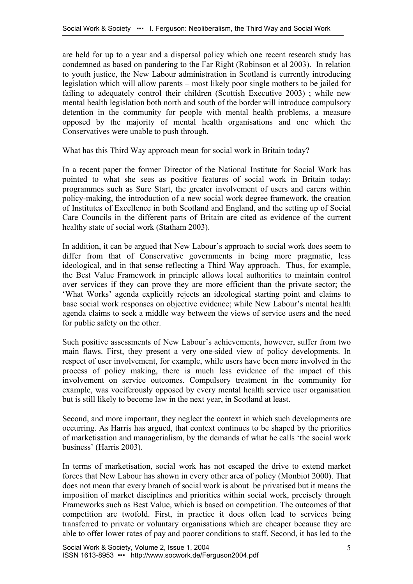are held for up to a year and a dispersal policy which one recent research study has condemned as based on pandering to the Far Right (Robinson et al 2003). In relation to youth justice, the New Labour administration in Scotland is currently introducing legislation which will allow parents – most likely poor single mothers to be jailed for failing to adequately control their children (Scottish Executive 2003) ; while new mental health legislation both north and south of the border will introduce compulsory detention in the community for people with mental health problems, a measure opposed by the majority of mental health organisations and one which the Conservatives were unable to push through.

What has this Third Way approach mean for social work in Britain today?

In a recent paper the former Director of the National Institute for Social Work has pointed to what she sees as positive features of social work in Britain today: programmes such as Sure Start, the greater involvement of users and carers within policy-making, the introduction of a new social work degree framework, the creation of Institutes of Excellence in both Scotland and England, and the setting up of Social Care Councils in the different parts of Britain are cited as evidence of the current healthy state of social work (Statham 2003).

In addition, it can be argued that New Labour's approach to social work does seem to differ from that of Conservative governments in being more pragmatic, less ideological, and in that sense reflecting a Third Way approach. Thus, for example, the Best Value Framework in principle allows local authorities to maintain control over services if they can prove they are more efficient than the private sector; the 'What Works' agenda explicitly rejects an ideological starting point and claims to base social work responses on objective evidence; while New Labour's mental health agenda claims to seek a middle way between the views of service users and the need for public safety on the other.

Such positive assessments of New Labour's achievements, however, suffer from two main flaws. First, they present a very one-sided view of policy developments. In respect of user involvement, for example, while users have been more involved in the process of policy making, there is much less evidence of the impact of this involvement on service outcomes. Compulsory treatment in the community for example, was vociferously opposed by every mental health service user organisation but is still likely to become law in the next year, in Scotland at least.

Second, and more important, they neglect the context in which such developments are occurring. As Harris has argued, that context continues to be shaped by the priorities of marketisation and managerialism, by the demands of what he calls 'the social work business' (Harris 2003).

In terms of marketisation, social work has not escaped the drive to extend market forces that New Labour has shown in every other area of policy (Monbiot 2000). That does not mean that every branch of social work is about be privatised but it means the imposition of market disciplines and priorities within social work, precisely through Frameworks such as Best Value, which is based on competition. The outcomes of that competition are twofold. First, in practice it does often lead to services being transferred to private or voluntary organisations which are cheaper because they are able to offer lower rates of pay and poorer conditions to staff. Second, it has led to the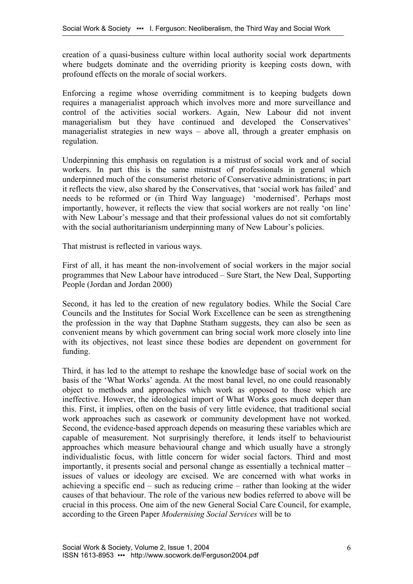creation of a quasi-business culture within local authority social work departments where budgets dominate and the overriding priority is keeping costs down, with profound effects on the morale of social workers.

Enforcing a regime whose overriding commitment is to keeping budgets down requires a managerialist approach which involves more and more surveillance and control of the activities social workers. Again, New Labour did not invent managerialism but they have continued and developed the Conservatives' managerialist strategies in new ways – above all, through a greater emphasis on regulation.

Underpinning this emphasis on regulation is a mistrust of social work and of social workers. In part this is the same mistrust of professionals in general which underpinned much of the consumerist rhetoric of Conservative administrations; in part it reflects the view, also shared by the Conservatives, that 'social work has failed' and needs to be reformed or (in Third Way language) 'modernised'. Perhaps most importantly, however, it reflects the view that social workers are not really 'on line' with New Labour's message and that their professional values do not sit comfortably with the social authoritarianism underpinning many of New Labour's policies.

That mistrust is reflected in various ways.

First of all, it has meant the non-involvement of social workers in the major social programmes that New Labour have introduced – Sure Start, the New Deal, Supporting People (Jordan and Jordan 2000)

Second, it has led to the creation of new regulatory bodies. While the Social Care Councils and the Institutes for Social Work Excellence can be seen as strengthening the profession in the way that Daphne Statham suggests, they can also be seen as convenient means by which government can bring social work more closely into line with its objectives, not least since these bodies are dependent on government for funding.

Third, it has led to the attempt to reshape the knowledge base of social work on the basis of the 'What Works' agenda. At the most banal level, no one could reasonably object to methods and approaches which work as opposed to those which are ineffective. However, the ideological import of What Works goes much deeper than this. First, it implies, often on the basis of very little evidence, that traditional social work approaches such as casework or community development have not worked. Second, the evidence-based approach depends on measuring these variables which are capable of measurement. Not surprisingly therefore, it lends itself to behaviourist approaches which measure behavioural change and which usually have a strongly individualistic focus, with little concern for wider social factors. Third and most importantly, it presents social and personal change as essentially a technical matter – issues of values or ideology are excised. We are concerned with what works in achieving a specific end – such as reducing crime – rather than looking at the wider causes of that behaviour. The role of the various new bodies referred to above will be crucial in this process. One aim of the new General Social Care Council, for example, according to the Green Paper *Modernising Social Services* will be to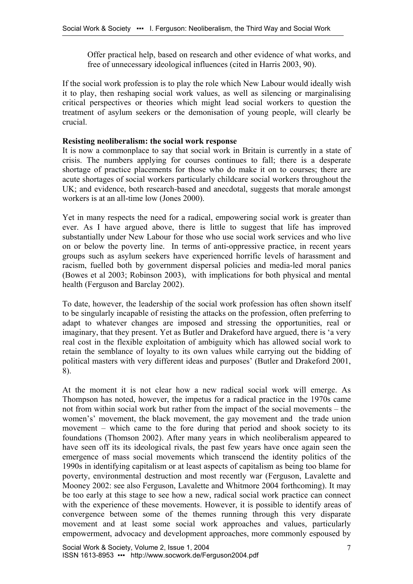Offer practical help, based on research and other evidence of what works, and free of unnecessary ideological influences (cited in Harris 2003, 90).

If the social work profession is to play the role which New Labour would ideally wish it to play, then reshaping social work values, as well as silencing or marginalising critical perspectives or theories which might lead social workers to question the treatment of asylum seekers or the demonisation of young people, will clearly be crucial.

#### **Resisting neoliberalism: the social work response**

It is now a commonplace to say that social work in Britain is currently in a state of crisis. The numbers applying for courses continues to fall; there is a desperate shortage of practice placements for those who do make it on to courses; there are acute shortages of social workers particularly childcare social workers throughout the UK; and evidence, both research-based and anecdotal, suggests that morale amongst workers is at an all-time low (Jones 2000).

Yet in many respects the need for a radical, empowering social work is greater than ever. As I have argued above, there is little to suggest that life has improved substantially under New Labour for those who use social work services and who live on or below the poverty line. In terms of anti-oppressive practice, in recent years groups such as asylum seekers have experienced horrific levels of harassment and racism, fuelled both by government dispersal policies and media-led moral panics (Bowes et al 2003; Robinson 2003), with implications for both physical and mental health (Ferguson and Barclay 2002).

To date, however, the leadership of the social work profession has often shown itself to be singularly incapable of resisting the attacks on the profession, often preferring to adapt to whatever changes are imposed and stressing the opportunities, real or imaginary, that they present. Yet as Butler and Drakeford have argued, there is 'a very real cost in the flexible exploitation of ambiguity which has allowed social work to retain the semblance of loyalty to its own values while carrying out the bidding of political masters with very different ideas and purposes' (Butler and Drakeford 2001, 8).

At the moment it is not clear how a new radical social work will emerge. As Thompson has noted, however, the impetus for a radical practice in the 1970s came not from within social work but rather from the impact of the social movements – the women's' movement, the black movement, the gay movement and the trade union movement – which came to the fore during that period and shook society to its foundations (Thomson 2002). After many years in which neoliberalism appeared to have seen off its its ideological rivals, the past few years have once again seen the emergence of mass social movements which transcend the identity politics of the 1990s in identifying capitalism or at least aspects of capitalism as being too blame for poverty, environmental destruction and most recently war (Ferguson, Lavalette and Mooney 2002: see also Ferguson, Lavalette and Whitmore 2004 forthcoming). It may be too early at this stage to see how a new, radical social work practice can connect with the experience of these movements. However, it is possible to identify areas of convergence between some of the themes running through this very disparate movement and at least some social work approaches and values, particularly empowerment, advocacy and development approaches, more commonly espoused by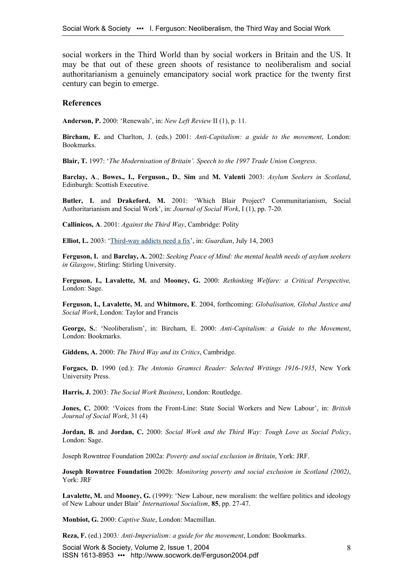social workers in the Third World than by social workers in Britain and the US. It may be that out of these green shoots of resistance to neoliberalism and social authoritarianism a genuinely emancipatory social work practice for the twenty first century can begin to emerge.

#### **References**

**Anderson, P.** 2000: 'Renewals', in: *New Left Review* II (1), p. 11.

**Bircham, E.** and Charlton, J. (eds.) 2001: *Anti-Capitalism: a guide to the movement*, London: Bookmarks.

**Blair, T.** 1997: '*The Modernisation of Britain'. Speech to the 1997 Trade Union Congress*.

**Barclay, A**., **Bowes., I., Ferguson., D.**, **Sim** and **M. Valenti** 2003: *Asylum Seekers in Scotland*, Edinburgh: Scottish Executive.

**Butler, I.** and **Drakeford, M.** 2001: 'Which Blair Project? Communitarianism, Social Authoritarianism and Social Work', in: *Journal of Social Work*, I (1), pp. 7-20.

**Callinicos, A**. 2001: *Against the Third Way*, Cambridge: Polity

**Elliot, L.** 2003: '[Third-way addicts need a fix](http://www.guardian.co.uk/business/story/0,3604,997641,00.html)', in: *Guardian*, July 14, 2003

**Ferguson, I.** and **Barclay, A.** 2002: *Seeking Peace of Mind: the mental health needs of asylum seekers in Glasgow*, Stirling: Stirling University.

**Ferguson, I., Lavalette, M.** and **Mooney, G.** 2000: *Rethinking Welfare: a Critical Perspective,*  London: Sage.

**Ferguson, I., Lavalette, M.** and **Whitmore, E**. 2004, forthcoming: *Globalisation, Global Justice and Social Work*, London: Taylor and Francis

**George, S.**: 'Neoliberalism', in: Bircham, E. 2000: *Anti-Capitalism: a Guide to the Movement*, London: Bookmarks.

**Giddens, A.** 2000: *The Third Way and its Critics*, Cambridge.

**Forgacs, D.** 1990 (ed.): *The Antonio Gramsci Reader: Selected Writings 1916-1935*, New York University Press.

**Harris, J.** 2003: *The Social Work Business*, London: Routledge.

**Jones, C.** 2000: 'Voices from the Front-Line: State Social Workers and New Labour', in: *British Journal of Social Work*, 31 (4)

**Jordan, B.** and **Jordan, C.** 2000: *Social Work and the Third Way: Tough Love as Social Policy*, London: Sage.

Joseph Rowntree Foundation 2002a: *Poverty and social exclusion in Britain*, York: JRF.

**Joseph Rowntree Foundation** 2002b: *Monitoring poverty and social exclusion in Scotland (2002)*, York: JRF

Lavalette, M. and Mooney, G. (1999): 'New Labour, new moralism: the welfare politics and ideology of New Labour under Blair' *International Socialism*, **85**, pp. 27-47.

**Monbiot, G.** 2000: *Captive State*, London: Macmillan.

**Reza, F.** (ed.) 2003*: Anti-Imperialism: a guide for the movement*, London: Bookmarks.

Social Work & Society, Volume 2, Issue 1, 2004 Social Work & Society, Volume 2, Issue 1, 2004<br>ISSN 1613-8953 ••• http://www.socwork.de/Ferguson2004.pdf